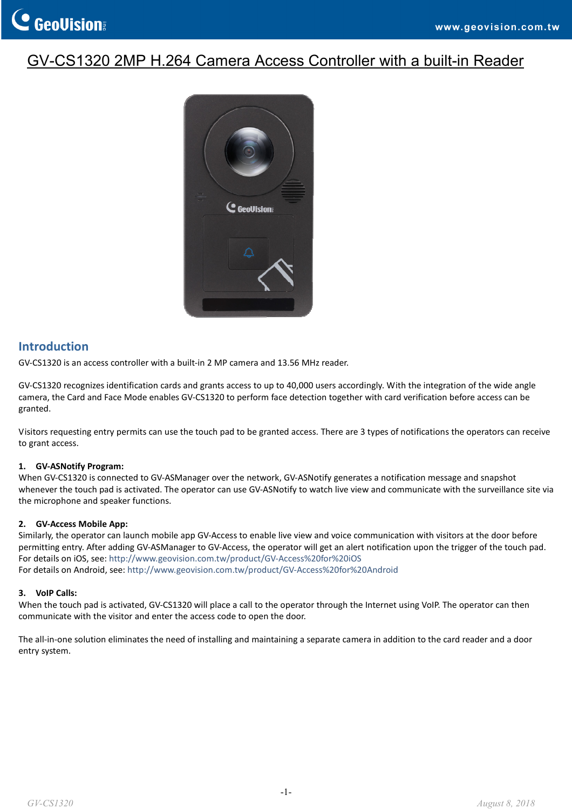## GV-CS1320 2MP H.264 Camera Access Controller with a built-in Reader



## **Introduction**

GV‐CS1320 is an access controller with a built‐in 2 MP camera and 13.56 MHz reader.

GV-CS1320 recognizes identification cards and grants access to up to 40,000 users accordingly. With the integration of the wide angle camera, the Card and Face Mode enables GV‐CS1320 to perform face detection together with card verification before access can be granted.

Visitors requesting entry permits can use the touch pad to be granted access. There are 3 types of notifications the operators can receive to grant access.

#### **1. GV‐ASNotify Program:**

When GV‐CS1320 is connected to GV‐ASManager over the network, GV‐ASNotify generates a notification message and snapshot whenever the touch pad is activated. The operator can use GV‐ASNotify to watch live view and communicate with the surveillance site via the microphone and speaker functions.

#### **2. GV‐Access Mobile App:**

Similarly, the operator can launch mobile app GV‐Access to enable live view and voice communication with visitors at the door before permitting entry. After adding GV‐ASManager to GV‐Access, the operator will get an alert notification upon the trigger of the touch pad. For details on iOS, see: [http://www.geovision.com.tw/product/GV](http://www.geovision.com.tw/product/GV-Access for iOS)‐Access%20for%20iOS For details on Android, see: [http://www.geovision.com.tw/product/GV](http://www.geovision.com.tw/product/GV-Access for Android)‐Access%20for%20Android

#### **3. VoIP Calls:**

When the touch pad is activated, GV-CS1320 will place a call to the operator through the Internet using VoIP. The operator can then communicate with the visitor and enter the access code to open the door.

The all‐in‐one solution eliminates the need of installing and maintaining a separate camera in addition to the card reader and a door entry system.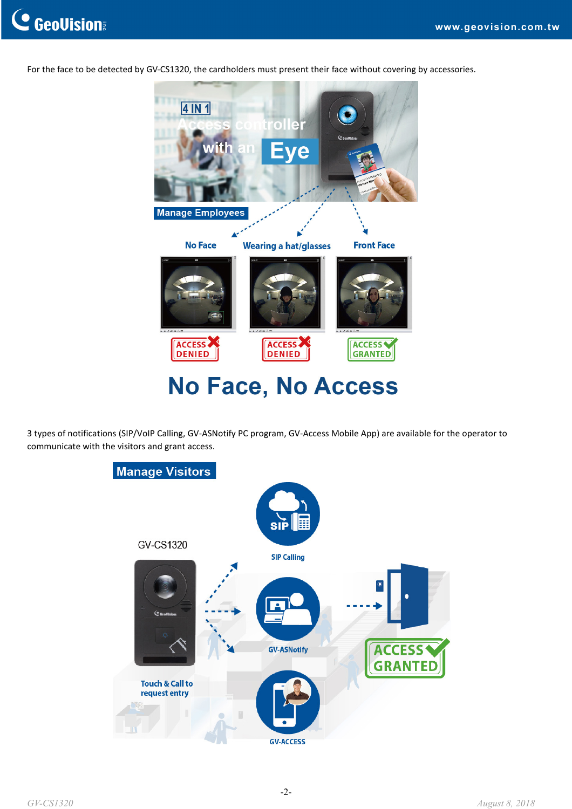

For the face to be detected by GV-CS1320, the cardholders must present their face without covering by accessories.



## No Face, No Access

3 types of notifications (SIP/VoIP Calling, GV‐ASNotify PC program, GV‐Access Mobile App) are available for the operator to communicate with the visitors and grant access.

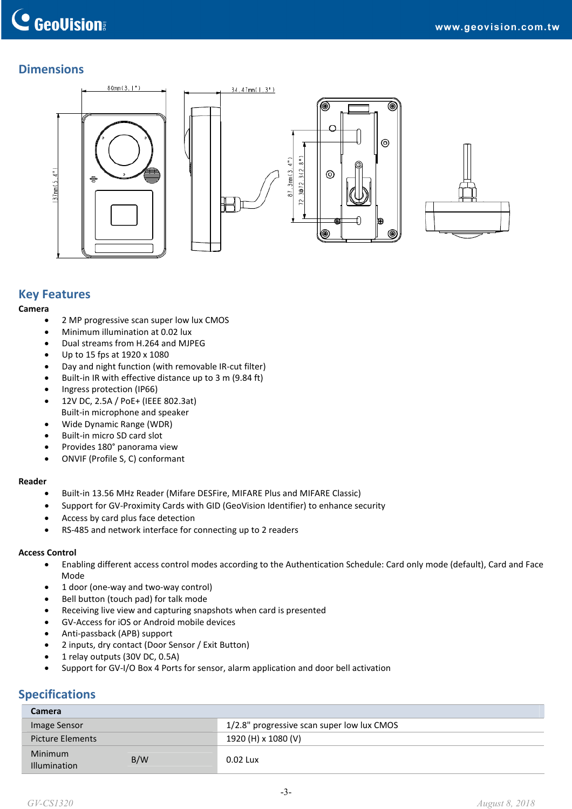## **Dimensions**





## **Key Features**

#### **Camera**

- 2 MP progressive scan super low lux CMOS
- Minimum illumination at 0.02 lux
- Dual streams from H.264 and MJPEG
- Up to 15 fps at 1920 x 1080
- Day and night function (with removable IR-cut filter)
- Built-in IR with effective distance up to 3 m (9.84 ft)
- Ingress protection (IP66)
- 12V DC, 2.5A / PoE+ (IEEE 802.3at) Built‐in microphone and speaker
- Wide Dynamic Range (WDR)
- Built-in micro SD card slot
- Provides 180° panorama view
- ONVIF (Profile S, C) conformant

#### **Reader**

- Built‐in 13.56 MHz Reader (Mifare DESFire, MIFARE Plus and MIFARE Classic)
- Support for GV‐Proximity Cards with GID (GeoVision Identifier) to enhance security
- Access by card plus face detection
- RS‐485 and network interface for connecting up to 2 readers

#### **Access Control**

- Enabling different access control modes according to the Authentication Schedule: Card only mode (default), Card and Face Mode
- 1 door (one‐way and two‐way control)
- Bell button (touch pad) for talk mode
- Receiving live view and capturing snapshots when card is presented
- GV‐Access for iOS or Android mobile devices
- Anti‐passback (APB) support
- 2 inputs, dry contact (Door Sensor / Exit Button)
- 1 relay outputs (30V DC, 0.5A)
- Support for GV-I/O Box 4 Ports for sensor, alarm application and door bell activation

### **Specifications**

| Camera                         |     |                                            |  |  |
|--------------------------------|-----|--------------------------------------------|--|--|
| Image Sensor                   |     | 1/2.8" progressive scan super low lux CMOS |  |  |
| <b>Picture Elements</b>        |     | 1920 (H) x 1080 (V)                        |  |  |
| Minimum<br><b>Illumination</b> | B/W | 0.02 Lux                                   |  |  |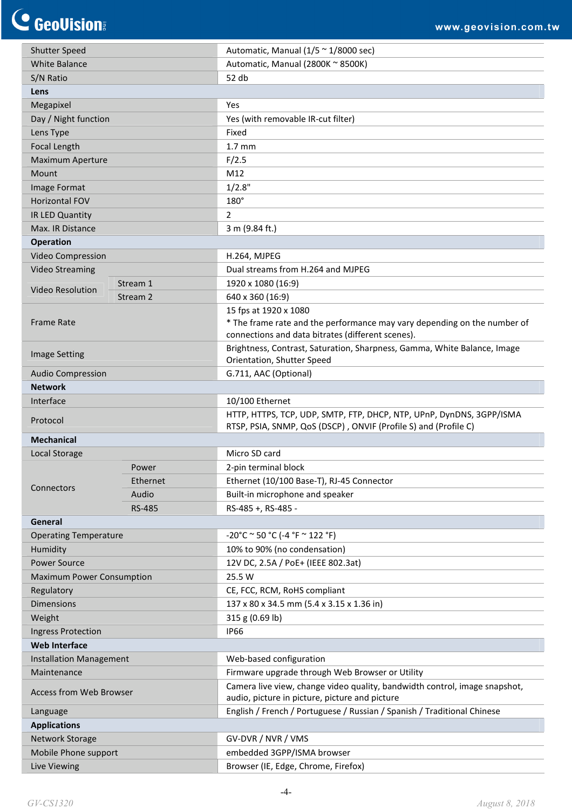C GeoVision

| <b>Shutter Speed</b>                           |               | Automatic, Manual $(1/5 \approx 1/8000 \text{ sec})$                       |
|------------------------------------------------|---------------|----------------------------------------------------------------------------|
| <b>White Balance</b>                           |               | Automatic, Manual (2800K ~ 8500K)                                          |
| S/N Ratio                                      |               | 52 db                                                                      |
| Lens                                           |               |                                                                            |
| Megapixel                                      |               | Yes                                                                        |
| Day / Night function                           |               | Yes (with removable IR-cut filter)                                         |
| Lens Type                                      |               | Fixed                                                                      |
| Focal Length                                   |               | $1.7 \text{ mm}$                                                           |
| <b>Maximum Aperture</b>                        |               | F/2.5                                                                      |
| Mount                                          |               | M12                                                                        |
| Image Format                                   |               | 1/2.8"                                                                     |
| <b>Horizontal FOV</b>                          |               | 180°                                                                       |
| IR LED Quantity                                |               | $\overline{2}$                                                             |
| Max. IR Distance                               |               | 3 m (9.84 ft.)                                                             |
| <b>Operation</b>                               |               |                                                                            |
| Video Compression                              |               | H.264, MJPEG                                                               |
| <b>Video Streaming</b>                         |               | Dual streams from H.264 and MJPEG                                          |
|                                                | Stream 1      | 1920 x 1080 (16:9)                                                         |
| <b>Video Resolution</b>                        | Stream 2      | 640 x 360 (16:9)                                                           |
|                                                |               | 15 fps at 1920 x 1080                                                      |
| <b>Frame Rate</b>                              |               | * The frame rate and the performance may vary depending on the number of   |
|                                                |               | connections and data bitrates (different scenes).                          |
|                                                |               | Brightness, Contrast, Saturation, Sharpness, Gamma, White Balance, Image   |
| <b>Image Setting</b>                           |               | Orientation, Shutter Speed                                                 |
| <b>Audio Compression</b>                       |               | G.711, AAC (Optional)                                                      |
| <b>Network</b>                                 |               |                                                                            |
| Interface                                      |               | 10/100 Ethernet                                                            |
|                                                |               | HTTP, HTTPS, TCP, UDP, SMTP, FTP, DHCP, NTP, UPnP, DynDNS, 3GPP/ISMA       |
| Protocol                                       |               | RTSP, PSIA, SNMP, QoS (DSCP), ONVIF (Profile S) and (Profile C)            |
| <b>Mechanical</b>                              |               |                                                                            |
| Local Storage                                  |               | Micro SD card                                                              |
|                                                | Power         | 2-pin terminal block                                                       |
|                                                | Ethernet      | Ethernet (10/100 Base-T), RJ-45 Connector                                  |
| Connectors                                     | Audio         | Built-in microphone and speaker                                            |
|                                                | <b>RS-485</b> | RS-485 +, RS-485 -                                                         |
| General                                        |               |                                                                            |
| <b>Operating Temperature</b>                   |               | $-20^{\circ}$ C ~ 50 °C (-4 °F ~ 122 °F)                                   |
| Humidity                                       |               | 10% to 90% (no condensation)                                               |
| <b>Power Source</b>                            |               | 12V DC, 2.5A / PoE+ (IEEE 802.3at)                                         |
| <b>Maximum Power Consumption</b>               |               | 25.5 W                                                                     |
| Regulatory                                     |               | CE, FCC, RCM, RoHS compliant                                               |
| <b>Dimensions</b>                              |               | 137 x 80 x 34.5 mm (5.4 x 3.15 x 1.36 in)                                  |
| Weight                                         |               | 315 g (0.69 lb)                                                            |
| <b>Ingress Protection</b>                      |               | <b>IP66</b>                                                                |
| <b>Web Interface</b>                           |               |                                                                            |
| <b>Installation Management</b>                 |               | Web-based configuration                                                    |
| Maintenance                                    |               | Firmware upgrade through Web Browser or Utility                            |
| <b>Access from Web Browser</b>                 |               | Camera live view, change video quality, bandwidth control, image snapshot, |
|                                                |               | audio, picture in picture, picture and picture                             |
| Language                                       |               | English / French / Portuguese / Russian / Spanish / Traditional Chinese    |
| <b>Applications</b>                            |               |                                                                            |
| <b>Network Storage</b><br>Mobile Phone support |               | GV-DVR / NVR / VMS                                                         |
|                                                |               | embedded 3GPP/ISMA browser                                                 |
| Live Viewing                                   |               | Browser (IE, Edge, Chrome, Firefox)                                        |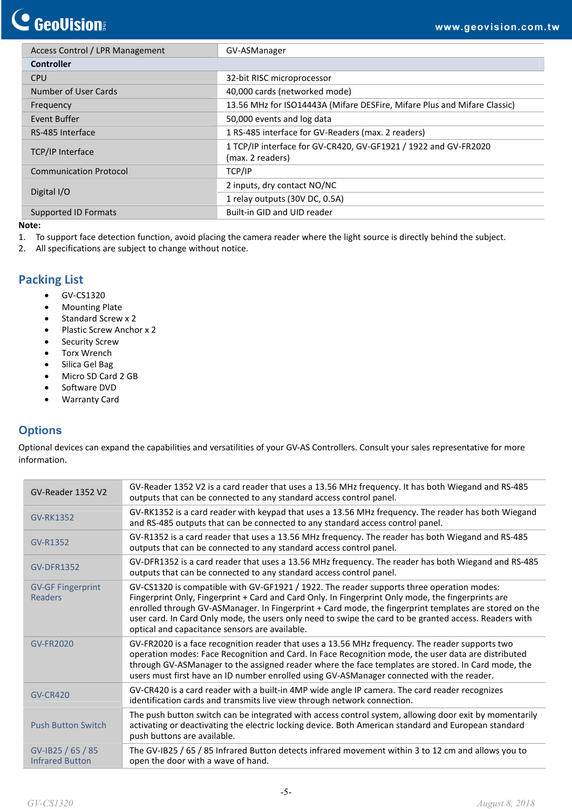## **C** GeoVision

| Access Control / LPR Management | GV-ASManager                                                                        |
|---------------------------------|-------------------------------------------------------------------------------------|
| <b>Controller</b>               |                                                                                     |
| <b>CPU</b>                      | 32-bit RISC microprocessor                                                          |
| Number of User Cards            | 40,000 cards (networked mode)                                                       |
| Frequency                       | 13.56 MHz for ISO14443A (Mifare DESFire, Mifare Plus and Mifare Classic)            |
| Event Buffer                    | 50,000 events and log data                                                          |
| RS-485 Interface                | 1 RS-485 interface for GV-Readers (max. 2 readers)                                  |
| <b>TCP/IP Interface</b>         | 1 TCP/IP interface for GV-CR420, GV-GF1921 / 1922 and GV-FR2020<br>(max. 2 readers) |
| <b>Communication Protocol</b>   | TCP/IP                                                                              |
|                                 | 2 inputs, dry contact NO/NC                                                         |
| Digital I/O                     | 1 relay outputs (30V DC, 0.5A)                                                      |
| <b>Supported ID Formats</b>     | Built-in GID and UID reader                                                         |

#### **Note:**

- 1. To support face detection function, avoid placing the camera reader where the light source is directly behind the subject.
- 2. All specifications are subject to change without notice.

### **Packing List**

- GV-CS1320
- Mounting Plate
- Standard Screw x 2
- Plastic Screw Anchor x 2
- Security Screw
- **•** Torx Wrench
- Silica Gel Bag
- Micro SD Card 2 GB
- Software DVD
- Warranty Card

## **Options**

Optional devices can expand the capabilities and versatilities of your GV‐AS Controllers. Consult your sales representative for more information.

| GV-Reader 1352 V2                           | GV-Reader 1352 V2 is a card reader that uses a 13.56 MHz frequency. It has both Wiegand and RS-485<br>outputs that can be connected to any standard access control panel.                                                                                                                                                                                                                                                                                             |
|---------------------------------------------|-----------------------------------------------------------------------------------------------------------------------------------------------------------------------------------------------------------------------------------------------------------------------------------------------------------------------------------------------------------------------------------------------------------------------------------------------------------------------|
| <b>GV-RK1352</b>                            | GV-RK1352 is a card reader with keypad that uses a 13.56 MHz frequency. The reader has both Wiegand<br>and RS-485 outputs that can be connected to any standard access control panel.                                                                                                                                                                                                                                                                                 |
| GV-R1352                                    | GV-R1352 is a card reader that uses a 13.56 MHz frequency. The reader has both Wiegand and RS-485<br>outputs that can be connected to any standard access control panel.                                                                                                                                                                                                                                                                                              |
| <b>GV-DFR1352</b>                           | GV-DFR1352 is a card reader that uses a 13.56 MHz frequency. The reader has both Wiegand and RS-485<br>outputs that can be connected to any standard access control panel.                                                                                                                                                                                                                                                                                            |
| <b>GV-GF Fingerprint</b><br><b>Readers</b>  | GV-CS1320 is compatible with GV-GF1921 / 1922. The reader supports three operation modes:<br>Fingerprint Only, Fingerprint + Card and Card Only. In Fingerprint Only mode, the fingerprints are<br>enrolled through GV-ASManager. In Fingerprint + Card mode, the fingerprint templates are stored on the<br>user card. In Card Only mode, the users only need to swipe the card to be granted access. Readers with<br>optical and capacitance sensors are available. |
| <b>GV-FR2020</b>                            | GV-FR2020 is a face recognition reader that uses a 13.56 MHz frequency. The reader supports two<br>operation modes: Face Recognition and Card. In Face Recognition mode, the user data are distributed<br>through GV-ASManager to the assigned reader where the face templates are stored. In Card mode, the<br>users must first have an ID number enrolled using GV-ASManager connected with the reader.                                                             |
| <b>GV-CR420</b>                             | GV-CR420 is a card reader with a built-in 4MP wide angle IP camera. The card reader recognizes<br>identification cards and transmits live view through network connection.                                                                                                                                                                                                                                                                                            |
| <b>Push Button Switch</b>                   | The push button switch can be integrated with access control system, allowing door exit by momentarily<br>activating or deactivating the electric locking device. Both American standard and European standard<br>push buttons are available.                                                                                                                                                                                                                         |
| GV-IB25 / 65 / 85<br><b>Infrared Button</b> | The GV-IB25 / 65 / 85 Infrared Button detects infrared movement within 3 to 12 cm and allows you to<br>open the door with a wave of hand.                                                                                                                                                                                                                                                                                                                             |